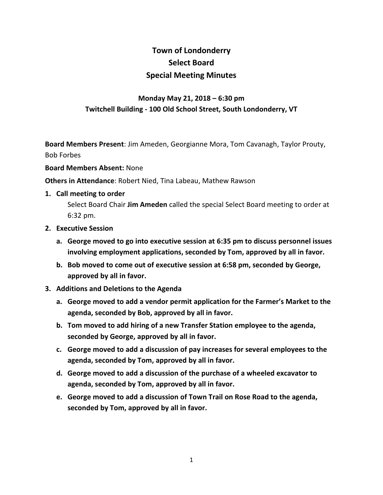# **Town of Londonderry Select Board Special Meeting Minutes**

# **Monday May 21, 2018 – 6:30 pm Twitchell Building - 100 Old School Street, South Londonderry, VT**

**Board Members Present**: Jim Ameden, Georgianne Mora, Tom Cavanagh, Taylor Prouty, Bob Forbes

#### **Board Members Absent:** None

**Others in Attendance**: Robert Nied, Tina Labeau, Mathew Rawson

**1. Call meeting to order**

Select Board Chair **Jim Ameden** called the special Select Board meeting to order at 6:32 pm.

- **2. Executive Session**
	- **a. George moved to go into executive session at 6:35 pm to discuss personnel issues involving employment applications, seconded by Tom, approved by all in favor.**
	- **b. Bob moved to come out of executive session at 6:58 pm, seconded by George, approved by all in favor.**
- **3. Additions and Deletions to the Agenda**
	- **a. George moved to add a vendor permit application for the Farmer's Market to the agenda, seconded by Bob, approved by all in favor.**
	- **b. Tom moved to add hiring of a new Transfer Station employee to the agenda, seconded by George, approved by all in favor.**
	- **c. George moved to add a discussion of pay increases for several employees to the agenda, seconded by Tom, approved by all in favor.**
	- **d. George moved to add a discussion of the purchase of a wheeled excavator to agenda, seconded by Tom, approved by all in favor.**
	- **e. George moved to add a discussion of Town Trail on Rose Road to the agenda, seconded by Tom, approved by all in favor.**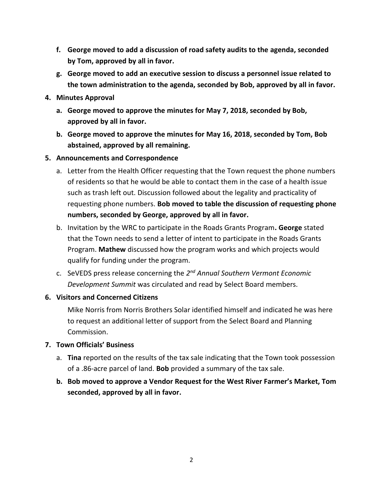- **f. George moved to add a discussion of road safety audits to the agenda, seconded by Tom, approved by all in favor.**
- **g. George moved to add an executive session to discuss a personnel issue related to the town administration to the agenda, seconded by Bob, approved by all in favor.**
- **4. Minutes Approval**
	- **a. George moved to approve the minutes for May 7, 2018, seconded by Bob, approved by all in favor.**
	- **b. George moved to approve the minutes for May 16, 2018, seconded by Tom, Bob abstained, approved by all remaining.**

## **5. Announcements and Correspondence**

- a. Letter from the Health Officer requesting that the Town request the phone numbers of residents so that he would be able to contact them in the case of a health issue such as trash left out. Discussion followed about the legality and practicality of requesting phone numbers. **Bob moved to table the discussion of requesting phone numbers, seconded by George, approved by all in favor.**
- b. Invitation by the WRC to participate in the Roads Grants Program**. George** stated that the Town needs to send a letter of intent to participate in the Roads Grants Program. **Mathew** discussed how the program works and which projects would qualify for funding under the program.
- c. SeVEDS press release concerning the *2 nd Annual Southern Vermont Economic Development Summit* was circulated and read by Select Board members.

# **6. Visitors and Concerned Citizens**

Mike Norris from Norris Brothers Solar identified himself and indicated he was here to request an additional letter of support from the Select Board and Planning Commission.

# **7. Town Officials' Business**

- a. **Tina** reported on the results of the tax sale indicating that the Town took possession of a .86-acre parcel of land. **Bob** provided a summary of the tax sale.
- **b. Bob moved to approve a Vendor Request for the West River Farmer's Market, Tom seconded, approved by all in favor.**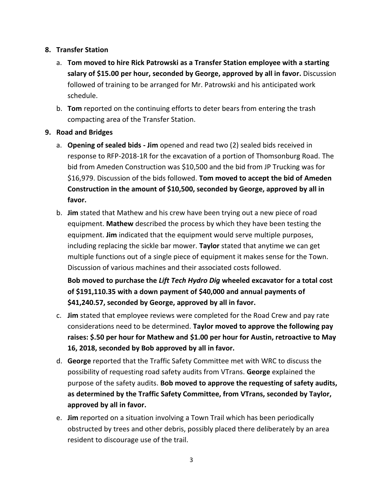## **8. Transfer Station**

- a. **Tom moved to hire Rick Patrowski as a Transfer Station employee with a starting salary of \$15.00 per hour, seconded by George, approved by all in favor.** Discussion followed of training to be arranged for Mr. Patrowski and his anticipated work schedule.
- b. **Tom** reported on the continuing efforts to deter bears from entering the trash compacting area of the Transfer Station.

## **9. Road and Bridges**

- a. **Opening of sealed bids - Jim** opened and read two (2) sealed bids received in response to RFP-2018-1R for the excavation of a portion of Thomsonburg Road. The bid from Ameden Construction was \$10,500 and the bid from JP Trucking was for \$16,979. Discussion of the bids followed. **Tom moved to accept the bid of Ameden Construction in the amount of \$10,500, seconded by George, approved by all in favor.**
- b. **Jim** stated that Mathew and his crew have been trying out a new piece of road equipment. **Mathew** described the process by which they have been testing the equipment. **Jim** indicated that the equipment would serve multiple purposes, including replacing the sickle bar mower. **Taylor** stated that anytime we can get multiple functions out of a single piece of equipment it makes sense for the Town. Discussion of various machines and their associated costs followed.

**Bob moved to purchase the** *Lift Tech Hydro Dig* **wheeled excavator for a total cost of \$191,110.35 with a down payment of \$40,000 and annual payments of \$41,240.57, seconded by George, approved by all in favor.**

- c. **Jim** stated that employee reviews were completed for the Road Crew and pay rate considerations need to be determined. **Taylor moved to approve the following pay raises: \$.50 per hour for Mathew and \$1.00 per hour for Austin, retroactive to May 16, 2018, seconded by Bob approved by all in favor.**
- d. **George** reported that the Traffic Safety Committee met with WRC to discuss the possibility of requesting road safety audits from VTrans. **George** explained the purpose of the safety audits. **Bob moved to approve the requesting of safety audits, as determined by the Traffic Safety Committee, from VTrans, seconded by Taylor, approved by all in favor.**
- e. **Jim** reported on a situation involving a Town Trail which has been periodically obstructed by trees and other debris, possibly placed there deliberately by an area resident to discourage use of the trail.